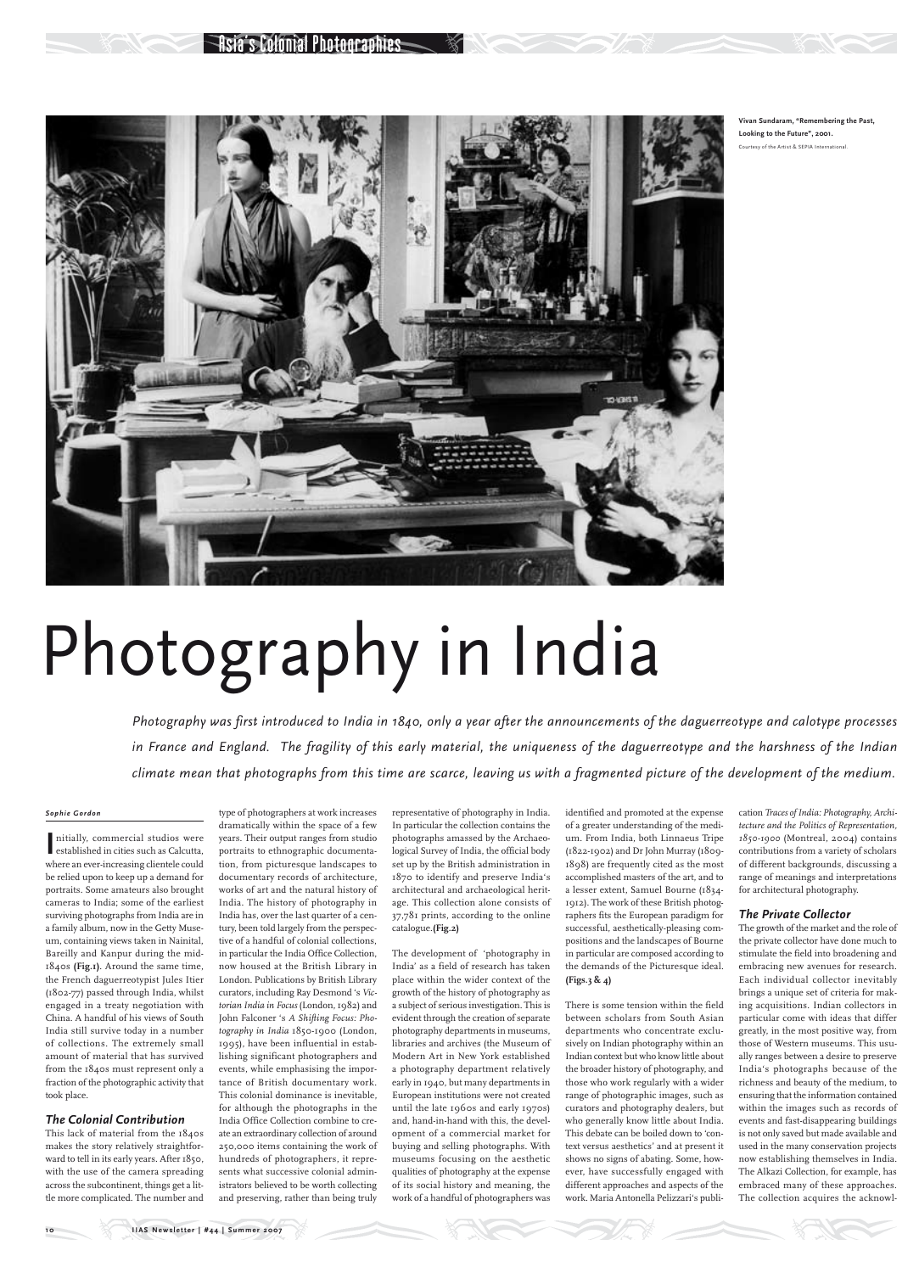### *Sophie Gordon*

nitially, commercial studios were<br>
established in cities such as Calcutta, nitially, commercial studios were where an ever-increasing clientele could be relied upon to keep up a demand for portraits. Some amateurs also brought cameras to India; some of the earliest surviving photographs from India are in a family album, now in the Getty Museum, containing views taken in Nainital, Bareilly and Kanpur during the mid-1840s **(Fig.1)**. Around the same time, the French daguerreotypist Jules Itier (1802-77) passed through India, whilst engaged in a treaty negotiation with China. A handful of his views of South India still survive today in a number of collections. The extremely small amount of material that has survived from the 1840s must represent only a fraction of the photographic activity that took place.

# *The Colonial Contribution*

This lack of material from the 1840s makes the story relatively straightforward to tell in its early years. After 1850, with the use of the camera spreading across the subcontinent, things get a little more complicated. The number and

type of photographers at work increases dramatically within the space of a few years. Their output ranges from studio portraits to ethnographic documentation, from picturesque landscapes to documentary records of architecture, works of art and the natural history of India. The history of photography in India has, over the last quarter of a century, been told largely from the perspective of a handful of colonial collections, in particular the India Office Collection, now housed at the British Library in London. Publications by British Library curators, including Ray Desmond 's *Victorian India in Focus* (London, 1982) and John Falconer 's *A Shifting Focus: Photography in India* 1850-1900 (London, 1995), have been influential in establishing significant photographers and events, while emphasising the importance of British documentary work. This colonial dominance is inevitable, for although the photographs in the India Office Collection combine to create an extraordinary collection of around 250,000 items containing the work of hundreds of photographers, it represents what successive colonial administrators believed to be worth collecting and preserving, rather than being truly

representative of photography in India. In particular the collection contains the photographs amassed by the Archaeological Survey of India, the official body set up by the British administration in 1870 to identify and preserve India's architectural and archaeological heritage. This collection alone consists of 37,781 prints, according to the online catalogue.**(Fig.2)**

The development of 'photography in India' as a field of research has taken place within the wider context of the growth of the history of photography as a subject of serious investigation. This is evident through the creation of separate photography departments in museums, libraries and archives (the Museum of Modern Art in New York established a photography department relatively early in 1940, but many departments in European institutions were not created until the late 1960s and early 1970s) and, hand-in-hand with this, the development of a commercial market for buying and selling photographs. With museums focusing on the aesthetic qualities of photography at the expense of its social history and meaning, the work of a handful of photographers was

identified and promoted at the expense of a greater understanding of the medium. From India, both Linnaeus Tripe (1822-1902) and Dr John Murray (1809- 1898) are frequently cited as the most accomplished masters of the art, and to a lesser extent, Samuel Bourne (1834- 1912). The work of these British photographers fits the European paradigm for successful, aesthetically-pleasing compositions and the landscapes of Bourne in particular are composed according to the demands of the Picturesque ideal. **(Figs.3 & 4)**

There is some tension within the field between scholars from South Asian departments who concentrate exclusively on Indian photography within an Indian context but who know little about the broader history of photography, and those who work regularly with a wider range of photographic images, such as curators and photography dealers, but who generally know little about India. This debate can be boiled down to 'context versus aesthetics' and at present it shows no signs of abating. Some, however, have successfully engaged with different approaches and aspects of the work. Maria Antonella Pelizzari's publication *Traces of India: Photography, Architecture and the Politics of Representation, 1850-1900* (Montreal, 2004) contains contributions from a variety of scholars of different backgrounds, discussing a range of meanings and interpretations for architectural photography.

# *The Private Collector*

The growth of the market and the role of the private collector have done much to stimulate the field into broadening and embracing new avenues for research. Each individual collector inevitably brings a unique set of criteria for making acquisitions. Indian collectors in particular come with ideas that differ greatly, in the most positive way, from those of Western museums. This usually ranges between a desire to preserve India's photographs because of the richness and beauty of the medium, to ensuring that the information contained within the images such as records of events and fast-disappearing buildings is not only saved but made available and used in the many conservation projects now establishing themselves in India. The Alkazi Collection, for example, has embraced many of these approaches. The collection acquires the acknowl-

# Photography in India

*Photography was first introduced to India in 1840, only a year after the announcements of the daguerreotype and calotype processes in France and England. The fragility of this early material, the uniqueness of the daguerreotype and the harshness of the Indian climate mean that photographs from this time are scarce, leaving us with a fragmented picture of the development of the medium.* 



**Vivan Sundaram, "Remembering the Past, Looking to the Future", 2001.**  Courtesy of the Artist & SEPIA International.